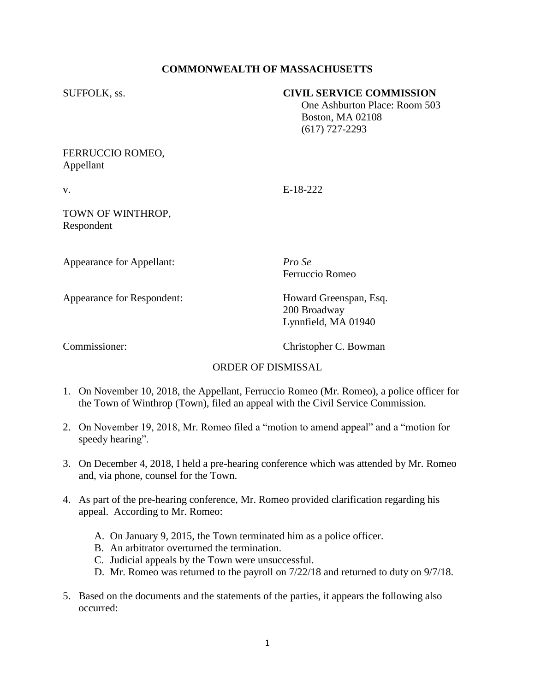# **COMMONWEALTH OF MASSACHUSETTS**

### SUFFOLK, ss. **CIVIL SERVICE COMMISSION**

 One Ashburton Place: Room 503 Boston, MA 02108 (617) 727-2293

### FERRUCCIO ROMEO, Appellant

v. E-18-222

#### TOWN OF WINTHROP, Respondent

Appearance for Appellant: *Pro Se*

Ferruccio Romeo

Appearance for Respondent: Howard Greenspan, Esq.

200 Broadway Lynnfield, MA 01940

Commissioner: Christopher C. Bowman

# ORDER OF DISMISSAL

- 1. On November 10, 2018, the Appellant, Ferruccio Romeo (Mr. Romeo), a police officer for the Town of Winthrop (Town), filed an appeal with the Civil Service Commission.
- 2. On November 19, 2018, Mr. Romeo filed a "motion to amend appeal" and a "motion for speedy hearing".
- 3. On December 4, 2018, I held a pre-hearing conference which was attended by Mr. Romeo and, via phone, counsel for the Town.
- 4. As part of the pre-hearing conference, Mr. Romeo provided clarification regarding his appeal. According to Mr. Romeo:
	- A. On January 9, 2015, the Town terminated him as a police officer.
	- B. An arbitrator overturned the termination.
	- C. Judicial appeals by the Town were unsuccessful.
	- D. Mr. Romeo was returned to the payroll on 7/22/18 and returned to duty on 9/7/18.
- 5. Based on the documents and the statements of the parties, it appears the following also occurred: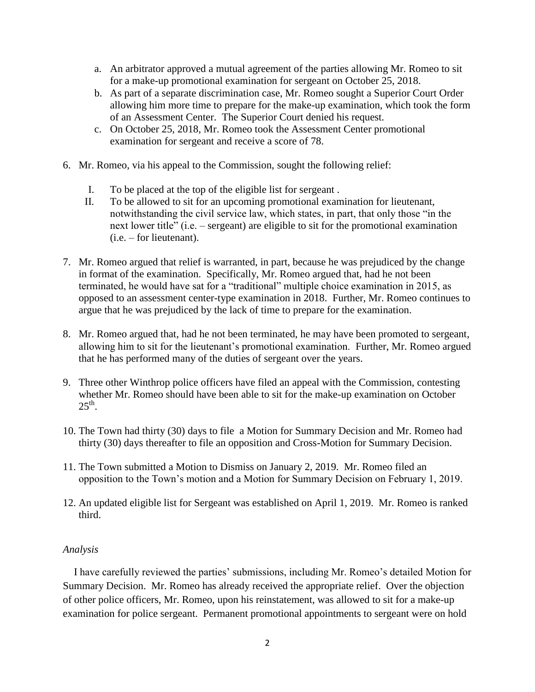- a. An arbitrator approved a mutual agreement of the parties allowing Mr. Romeo to sit for a make-up promotional examination for sergeant on October 25, 2018.
- b. As part of a separate discrimination case, Mr. Romeo sought a Superior Court Order allowing him more time to prepare for the make-up examination, which took the form of an Assessment Center. The Superior Court denied his request.
- c. On October 25, 2018, Mr. Romeo took the Assessment Center promotional examination for sergeant and receive a score of 78.
- 6. Mr. Romeo, via his appeal to the Commission, sought the following relief:
	- I. To be placed at the top of the eligible list for sergeant .
	- II. To be allowed to sit for an upcoming promotional examination for lieutenant, notwithstanding the civil service law, which states, in part, that only those "in the next lower title" (i.e. – sergeant) are eligible to sit for the promotional examination (i.e. – for lieutenant).
- 7. Mr. Romeo argued that relief is warranted, in part, because he was prejudiced by the change in format of the examination. Specifically, Mr. Romeo argued that, had he not been terminated, he would have sat for a "traditional" multiple choice examination in 2015, as opposed to an assessment center-type examination in 2018. Further, Mr. Romeo continues to argue that he was prejudiced by the lack of time to prepare for the examination.
- 8. Mr. Romeo argued that, had he not been terminated, he may have been promoted to sergeant, allowing him to sit for the lieutenant's promotional examination. Further, Mr. Romeo argued that he has performed many of the duties of sergeant over the years.
- 9. Three other Winthrop police officers have filed an appeal with the Commission, contesting whether Mr. Romeo should have been able to sit for the make-up examination on October  $25<sup>th</sup>$ .
- 10. The Town had thirty (30) days to file a Motion for Summary Decision and Mr. Romeo had thirty (30) days thereafter to file an opposition and Cross-Motion for Summary Decision.
- 11. The Town submitted a Motion to Dismiss on January 2, 2019. Mr. Romeo filed an opposition to the Town's motion and a Motion for Summary Decision on February 1, 2019.
- 12. An updated eligible list for Sergeant was established on April 1, 2019. Mr. Romeo is ranked third.

#### *Analysis*

 I have carefully reviewed the parties' submissions, including Mr. Romeo's detailed Motion for Summary Decision. Mr. Romeo has already received the appropriate relief. Over the objection of other police officers, Mr. Romeo, upon his reinstatement, was allowed to sit for a make-up examination for police sergeant. Permanent promotional appointments to sergeant were on hold